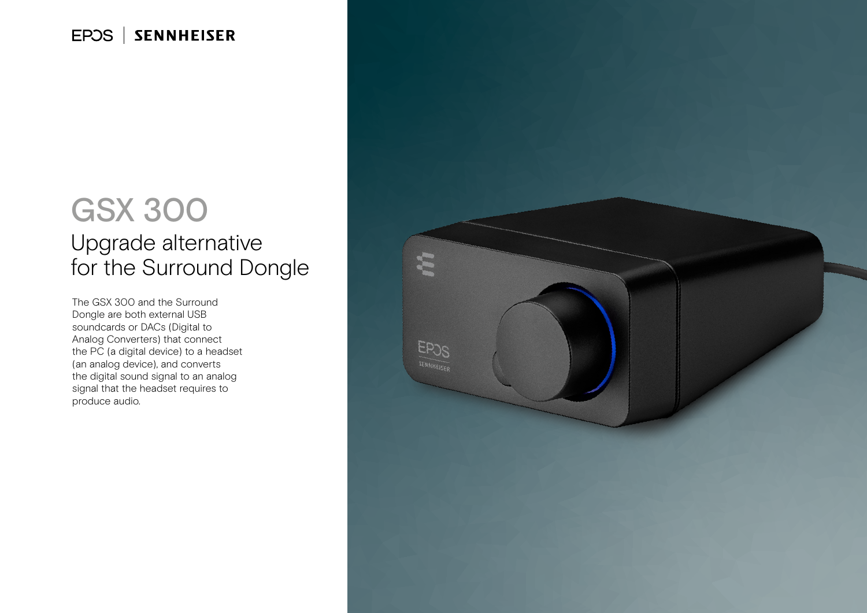#### EPOS | **SENNHEISER**

## GSX 300

### Upgrade alternative for the Surround Dongle

The GSX 300 and the Surround Dongle are both external USB soundcards or DACs (Digital to Analog Converters) that connect the PC (a digital device) to a headset (an analog device), and converts the digital sound signal to an analog signal that the headset requires to produce audio.